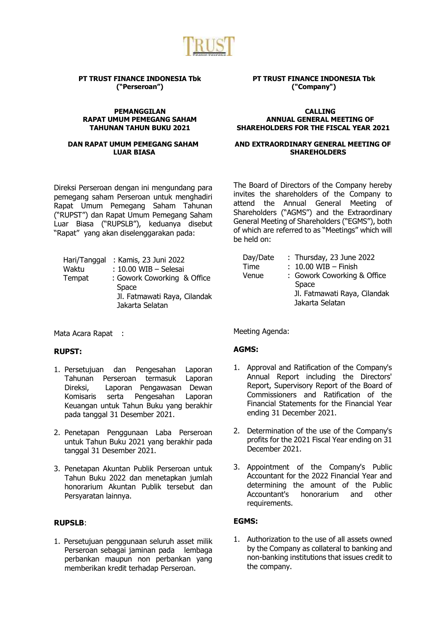

#### **PT TRUST FINANCE INDONESIA Tbk ("Perseroan")**

#### **PEMANGGILAN RAPAT UMUM PEMEGANG SAHAM TAHUNAN TAHUN BUKU 2021**

#### **DAN RAPAT UMUM PEMEGANG SAHAM LUAR BIASA**

Direksi Perseroan dengan ini mengundang para pemegang saham Perseroan untuk menghadiri Rapat Umum Pemegang Saham Tahunan ("RUPST") dan Rapat Umum Pemegang Saham Luar Biasa ("RUPSLB"), keduanya disebut "Rapat" yang akan diselenggarakan pada:

| Hari/Tanggal | : Kamis, 23 Juni 2022        |
|--------------|------------------------------|
| Waktu        | : 10.00 WIB - Selesai        |
| Tempat       | : Gowork Coworking & Office  |
|              | Space                        |
|              | Jl. Fatmawati Raya, Cilandak |
|              | Jakarta Selatan              |

Mata Acara Rapat :

# **RUPST:**

- 1. Persetujuan dan Pengesahan Laporan Tahunan Perseroan termasuk Laporan Direksi, Laporan Pengawasan Dewan Komisaris serta Pengesahan Laporan Keuangan untuk Tahun Buku yang berakhir pada tanggal 31 Desember 2021.
- 2. Penetapan Penggunaan Laba Perseroan untuk Tahun Buku 2021 yang berakhir pada tanggal 31 Desember 2021.
- 3. Penetapan Akuntan Publik Perseroan untuk Tahun Buku 2022 dan menetapkan jumlah honorarium Akuntan Publik tersebut dan Persyaratan lainnya.

# **RUPSLB**:

1. Persetujuan penggunaan seluruh asset milik Perseroan sebagai jaminan pada lembaga perbankan maupun non perbankan yang memberikan kredit terhadap Perseroan.

# **PT TRUST FINANCE INDONESIA Tbk ("Company")**

#### **CALLING ANNUAL GENERAL MEETING OF SHAREHOLDERS FOR THE FISCAL YEAR 2021**

#### **AND EXTRAORDINARY GENERAL MEETING OF SHAREHOLDERS**

The Board of Directors of the Company hereby invites the shareholders of the Company to attend the Annual General Meeting of Shareholders ("AGMS") and the Extraordinary General Meeting of Shareholders ("EGMS"), both of which are referred to as "Meetings" which will be held on:

| Day/Date | : Thursday, 23 June 2022     |
|----------|------------------------------|
| Time     | $: 10.00$ WIB - Finish       |
| Venue    | : Gowork Coworking & Office  |
|          | Space                        |
|          | Jl. Fatmawati Raya, Cilandak |
|          | Jakarta Selatan              |

Meeting Agenda:

# **AGMS:**

- 1. Approval and Ratification of the Company's Annual Report including the Directors' Report, Supervisory Report of the Board of Commissioners and Ratification of the Financial Statements for the Financial Year ending 31 December 2021.
- 2. Determination of the use of the Company's profits for the 2021 Fiscal Year ending on 31 December 2021.
- 3. Appointment of the Company's Public Accountant for the 2022 Financial Year and determining the amount of the Public Accountant's honorarium and other requirements.

# **EGMS:**

1. Authorization to the use of all assets owned by the Company as collateral to banking and non-banking institutions that issues credit to the company.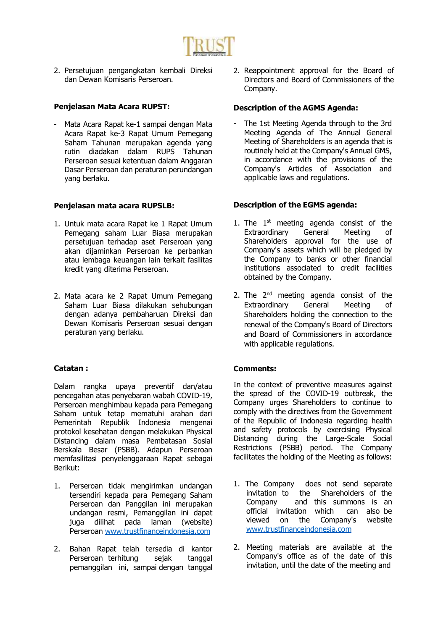

2. Persetujuan pengangkatan kembali Direksi dan Dewan Komisaris Perseroan.

# **Penjelasan Mata Acara RUPST:**

Mata Acara Rapat ke-1 sampai dengan Mata Acara Rapat ke-3 Rapat Umum Pemegang Saham Tahunan merupakan agenda yang rutin diadakan dalam RUPS Tahunan Perseroan sesuai ketentuan dalam Anggaran Dasar Perseroan dan peraturan perundangan yang berlaku.

# **Penjelasan mata acara RUPSLB:**

- 1. Untuk mata acara Rapat ke 1 Rapat Umum Pemegang saham Luar Biasa merupakan persetujuan terhadap aset Perseroan yang akan dijaminkan Perseroan ke perbankan atau lembaga keuangan lain terkait fasilitas kredit yang diterima Perseroan.
- 2. Mata acara ke 2 Rapat Umum Pemegang Saham Luar Biasa dilakukan sehubungan dengan adanya pembaharuan Direksi dan Dewan Komisaris Perseroan sesuai dengan peraturan yang berlaku.

# **Catatan :**

Dalam rangka upaya preventif dan/atau pencegahan atas penyebaran wabah COVID-19, Perseroan menghimbau kepada para Pemegang Saham untuk tetap mematuhi arahan dari Pemerintah Republik Indonesia mengenai protokol kesehatan dengan melakukan Physical Distancing dalam masa Pembatasan Sosial Berskala Besar (PSBB). Adapun Perseroan memfasilitasi penyelenggaraan Rapat sebagai Berikut:

- 1. Perseroan tidak mengirimkan undangan tersendiri kepada para Pemegang Saham Perseroan dan Panggilan ini merupakan undangan resmi, Pemanggilan ini dapat juga dilihat pada laman (website) Perseroan [www.trustfinanceindonesia.com](http://www.trustfinanceindonesia.com/)
- 2. Bahan Rapat telah tersedia di kantor Perseroan terhitung sejak tanggal pemanggilan ini, sampai dengan tanggal

2. Reappointment approval for the Board of Directors and Board of Commissioners of the Company.

#### **Description of the AGMS Agenda:**

The 1st Meeting Agenda through to the 3rd Meeting Agenda of The Annual General Meeting of Shareholders is an agenda that is routinely held at the Company's Annual GMS, in accordance with the provisions of the Company's Articles of Association and applicable laws and regulations.

#### **Description of the EGMS agenda:**

- 1. The  $1<sup>st</sup>$  meeting agenda consist of the Extraordinary General Meeting of Shareholders approval for the use of Company's assets which will be pledged by the Company to banks or other financial institutions associated to credit facilities obtained by the Company.
- 2. The  $2^{nd}$  meeting agenda consist of the Extraordinary General Meeting of Shareholders holding the connection to the renewal of the Company's Board of Directors and Board of Commissioners in accordance with applicable regulations.

# **Comments:**

In the context of preventive measures against the spread of the COVID-19 outbreak, the Company urges Shareholders to continue to comply with the directives from the Government of the Republic of Indonesia regarding health and safety protocols by exercising Physical Distancing during the Large-Scale Social Restrictions (PSBB) period. The Company facilitates the holding of the Meeting as follows:

- 1. The Company does not send separate invitation to the Shareholders of the Company and this summons is an official invitation which can also be viewed on the Company's website [www.trustfinanceindonesia.com](http://www.trustfinanceindonesia.com/)
- 2. Meeting materials are available at the Company's office as of the date of this invitation, until the date of the meeting and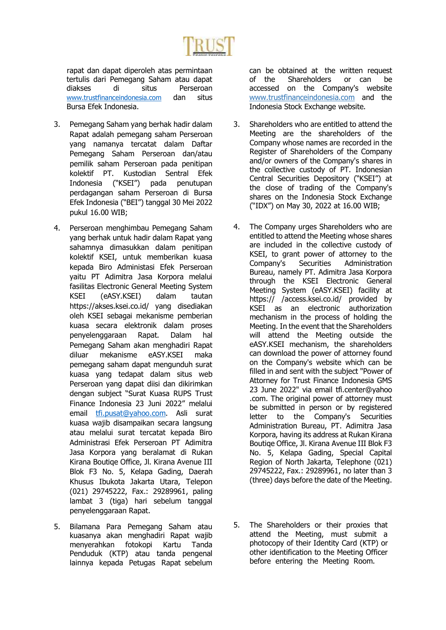

rapat dan dapat diperoleh atas permintaan tertulis dari Pemegang Saham atau dapat diakses di situs Perseroan [www.trustfinanceindonesia.com](http://www.trustfinanceindonesia.com/) dan situs Bursa Efek Indonesia.

- 3. Pemegang Saham yang berhak hadir dalam Rapat adalah pemegang saham Perseroan yang namanya tercatat dalam Daftar Pemegang Saham Perseroan dan/atau pemilik saham Perseroan pada penitipan kolektif PT. Kustodian Sentral Efek Indonesia ("KSEI") pada penutupan perdagangan saham Perseroan di Bursa Efek Indonesia ("BEI") tanggal 30 Mei 2022 pukul 16.00 WIB;
- 4. Perseroan menghimbau Pemegang Saham yang berhak untuk hadir dalam Rapat yang sahamnya dimasukkan dalam penitipan kolektif KSEI, untuk memberikan kuasa kepada Biro Administasi Efek Perseroan yaitu PT Adimitra Jasa Korpora melalui fasilitas Electronic General Meeting System KSEI (eASY.KSEI) dalam tautan https://akses.ksei.co.id/ yang disediakan oleh KSEI sebagai mekanisme pemberian kuasa secara elektronik dalam proses penyelenggaraan Rapat. Dalam hal Pemegang Saham akan menghadiri Rapat diluar mekanisme eASY.KSEI maka pemegang saham dapat mengunduh surat kuasa yang tedapat dalam situs web Perseroan yang dapat diisi dan dikirimkan dengan subject "Surat Kuasa RUPS Trust Finance Indonesia 23 Juni 2022" melalui email [tfi.pusat@yahoo.com.](mailto:tfi.pusat@yahoo.com) Asli surat kuasa wajib disampaikan secara langsung atau melalui surat tercatat kepada Biro Administrasi Efek Perseroan PT Adimitra Jasa Korpora yang beralamat di Rukan Kirana Boutiqe Office, Jl. Kirana Avenue III Blok F3 No. 5, Kelapa Gading, Daerah Khusus Ibukota Jakarta Utara, Telepon (021) 29745222, Fax.: 29289961, paling lambat 3 (tiga) hari sebelum tanggal penyelenggaraan Rapat.
- 5. Bilamana Para Pemegang Saham atau kuasanya akan menghadiri Rapat wajib menyerahkan fotokopi Kartu Tanda Penduduk (KTP) atau tanda pengenal lainnya kepada Petugas Rapat sebelum

can be obtained at the written request of the Shareholders or can be accessed on the Company's website www.trustfinanceindonesia.com and the Indonesia Stock Exchange website.

- 3. Shareholders who are entitled to attend the Meeting are the shareholders of the Company whose names are recorded in the Register of Shareholders of the Company and/or owners of the Company's shares in the collective custody of PT. Indonesian Central Securities Depository ("KSEI") at the close of trading of the Company's shares on the Indonesia Stock Exchange ("IDX") on May 30, 2022 at 16.00 WIB;
- 4. The Company urges Shareholders who are entitled to attend the Meeting whose shares are included in the collective custody of KSEI, to grant power of attorney to the Company's Securities Administration Bureau, namely PT. Adimitra Jasa Korpora through the KSEI Electronic General Meeting System (eASY.KSEI) facility at https:// /access.ksei.co.id/ provided by KSEI as an electronic authorization mechanism in the process of holding the Meeting. In the event that the Shareholders will attend the Meeting outside the eASY.KSEI mechanism, the shareholders can download the power of attorney found on the Company's website which can be filled in and sent with the subject "Power of Attorney for Trust Finance Indonesia GMS 23 June 2022" via email tfi.center@yahoo .com. The original power of attorney must be submitted in person or by registered letter to the Company's Securities Administration Bureau, PT. Adimitra Jasa Korpora, having its address at Rukan Kirana Boutiqe Office, Jl. Kirana Avenue III Blok F3 No. 5, Kelapa Gading, Special Capital Region of North Jakarta, Telephone (021) 29745222, Fax.: 29289961, no later than 3 (three) days before the date of the Meeting.
- 5. The Shareholders or their proxies that attend the Meeting, must submit a photocopy of their Identity Card (KTP) or other identification to the Meeting Officer before entering the Meeting Room.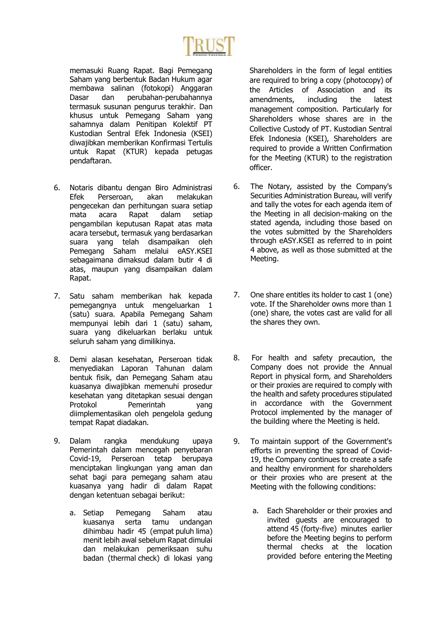

memasuki Ruang Rapat. Bagi Pemegang Saham yang berbentuk Badan Hukum agar membawa salinan (fotokopi) Anggaran Dasar dan perubahan-perubahannya termasuk susunan pengurus terakhir. Dan khusus untuk Pemegang Saham yang sahamnya dalam Penitipan Kolektif PT Kustodian Sentral Efek Indonesia (KSEI) diwajibkan memberikan Konfirmasi Tertulis untuk Rapat (KTUR) kepada petugas pendaftaran.

- 6. Notaris dibantu dengan Biro Administrasi Efek Perseroan, akan melakukan pengecekan dan perhitungan suara setiap mata acara Rapat dalam setiap pengambilan keputusan Rapat atas mata acara tersebut, termasuk yang berdasarkan suara yang telah disampaikan oleh Pemegang Saham melalui eASY.KSEI sebagaimana dimaksud dalam butir 4 di atas, maupun yang disampaikan dalam Rapat.
- 7. Satu saham memberikan hak kepada pemegangnya untuk mengeluarkan 1 (satu) suara. Apabila Pemegang Saham mempunyai lebih dari 1 (satu) saham, suara yang dikeluarkan berlaku untuk seluruh saham yang dimilikinya.
- 8. Demi alasan kesehatan, Perseroan tidak menyediakan Laporan Tahunan dalam bentuk fisik, dan Pemegang Saham atau kuasanya diwajibkan memenuhi prosedur kesehatan yang ditetapkan sesuai dengan Protokol Pemerintah yang diimplementasikan oleh pengelola gedung tempat Rapat diadakan.
- 9. Dalam rangka mendukung upaya Pemerintah dalam mencegah penyebaran Covid-19, Perseroan tetap berupaya menciptakan lingkungan yang aman dan sehat bagi para pemegang saham atau kuasanya yang hadir di dalam Rapat dengan ketentuan sebagai berikut:
	- a. Setiap Pemegang Saham atau kuasanya serta tamu undangan dihimbau hadir 45 (empat puluh lima) menit lebih awal sebelum Rapat dimulai dan melakukan pemeriksaan suhu badan (thermal check) di lokasi yang

Shareholders in the form of legal entities are required to bring a copy (photocopy) of the Articles of Association and its amendments, including the latest management composition. Particularly for Shareholders whose shares are in the Collective Custody of PT. Kustodian Sentral Efek Indonesia (KSEI), Shareholders are required to provide a Written Confirmation for the Meeting (KTUR) to the registration officer.

- 6. The Notary, assisted by the Company's Securities Administration Bureau, will verify and tally the votes for each agenda item of the Meeting in all decision-making on the stated agenda, including those based on the votes submitted by the Shareholders through eASY.KSEI as referred to in point 4 above, as well as those submitted at the Meeting.
- 7. One share entitles its holder to cast 1 (one) vote. If the Shareholder owns more than 1 (one) share, the votes cast are valid for all the shares they own.
- 8. For health and safety precaution, the Company does not provide the Annual Report in physical form, and Shareholders or their proxies are required to comply with the health and safety procedures stipulated in accordance with the Government Protocol implemented by the manager of the building where the Meeting is held.
- 9. To maintain support of the Government's efforts in preventing the spread of Covid-19, the Company continues to create a safe and healthy environment for shareholders or their proxies who are present at the Meeting with the following conditions:
	- a. Each Shareholder or their proxies and invited guests are encouraged to attend 45 (forty-five) minutes earlier before the Meeting begins to perform thermal checks at the location provided before entering the Meeting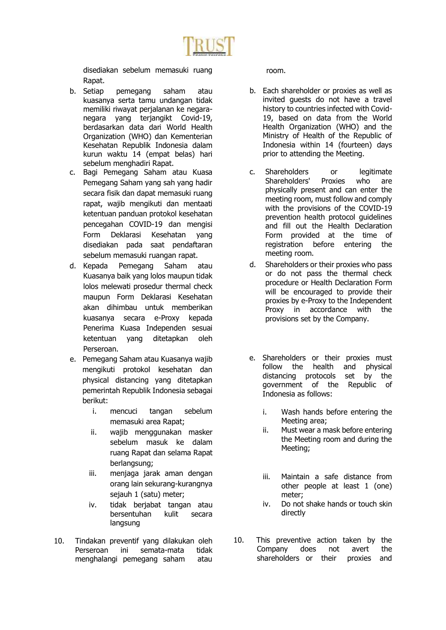

disediakan sebelum memasuki ruang Rapat.

- b. Setiap pemegang saham atau kuasanya serta tamu undangan tidak memiliki riwayat perjalanan ke negaranegara yang terjangikt Covid-19, berdasarkan data dari World Health Organization (WHO) dan Kementerian Kesehatan Republik Indonesia dalam kurun waktu 14 (empat belas) hari sebelum menghadiri Rapat.
- c. Bagi Pemegang Saham atau Kuasa Pemegang Saham yang sah yang hadir secara fisik dan dapat memasuki ruang rapat, wajib mengikuti dan mentaati ketentuan panduan protokol kesehatan pencegahan COVID-19 dan mengisi Form Deklarasi Kesehatan yang disediakan pada saat pendaftaran sebelum memasuki ruangan rapat.
- d. Kepada Pemegang Saham atau Kuasanya baik yang lolos maupun tidak lolos melewati prosedur thermal check maupun Form Deklarasi Kesehatan akan dihimbau untuk memberikan kuasanya secara e-Proxy kepada Penerima Kuasa Independen sesuai ketentuan yang ditetapkan oleh Perseroan.
- e. Pemegang Saham atau Kuasanya wajib mengikuti protokol kesehatan dan physical distancing yang ditetapkan pemerintah Republik Indonesia sebagai berikut:
	- i. mencuci tangan sebelum memasuki area Rapat;
	- ii. wajib menggunakan masker sebelum masuk ke dalam ruang Rapat dan selama Rapat berlangsung;
	- iii. menjaga jarak aman dengan orang lain sekurang-kurangnya sejauh 1 (satu) meter;
	- iv. tidak berjabat tangan atau bersentuhan kulit secara langsung
- 10. Tindakan preventif yang dilakukan oleh Perseroan ini semata-mata tidak menghalangi pemegang saham atau

room.

- b. Each shareholder or proxies as well as invited guests do not have a travel history to countries infected with Covid-19, based on data from the World Health Organization (WHO) and the Ministry of Health of the Republic of Indonesia within 14 (fourteen) days prior to attending the Meeting.
- c. Shareholders or legitimate Shareholders' Proxies who are physically present and can enter the meeting room, must follow and comply with the provisions of the COVID-19 prevention health protocol guidelines and fill out the Health Declaration Form provided at the time of registration before entering the meeting room.
- d. Shareholders or their proxies who pass or do not pass the thermal check procedure or Health Declaration Form will be encouraged to provide their proxies by e-Proxy to the Independent Proxy in accordance with the provisions set by the Company.
- e. Shareholders or their proxies must follow the health and physical distancing protocols set by the government of the Republic of Indonesia as follows:
	- i. Wash hands before entering the Meeting area;
	- ii. Must wear a mask before entering the Meeting room and during the Meeting;
	- iii. Maintain a safe distance from other people at least 1 (one) meter;
	- iv. Do not shake hands or touch skin directly
- 10. This preventive action taken by the Company does not avert the shareholders or their proxies and